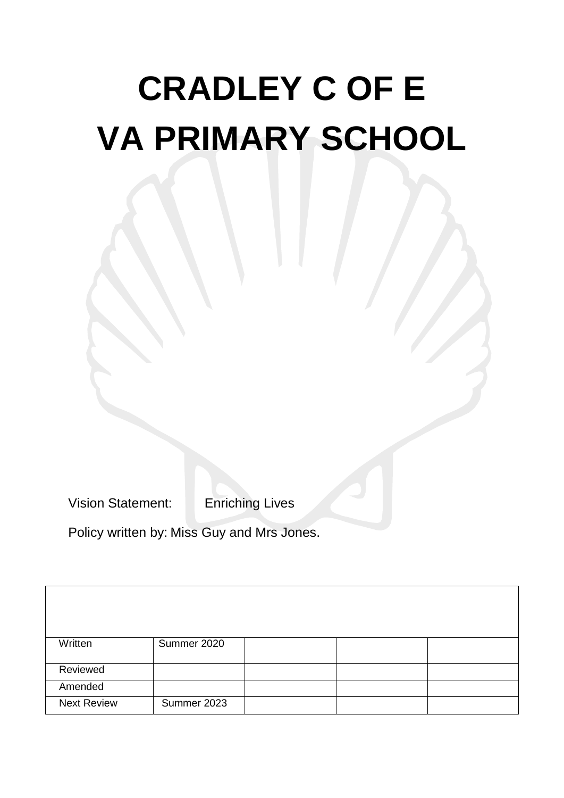# **CRADLEY C OF E VA PRIMARY SCHOOL**

Vision Statement: Enriching Lives

Policy written by: Miss Guy and Mrs Jones.

| Written            | Summer 2020 |  |  |
|--------------------|-------------|--|--|
|                    |             |  |  |
| Reviewed           |             |  |  |
| Amended            |             |  |  |
|                    |             |  |  |
| <b>Next Review</b> | Summer 2023 |  |  |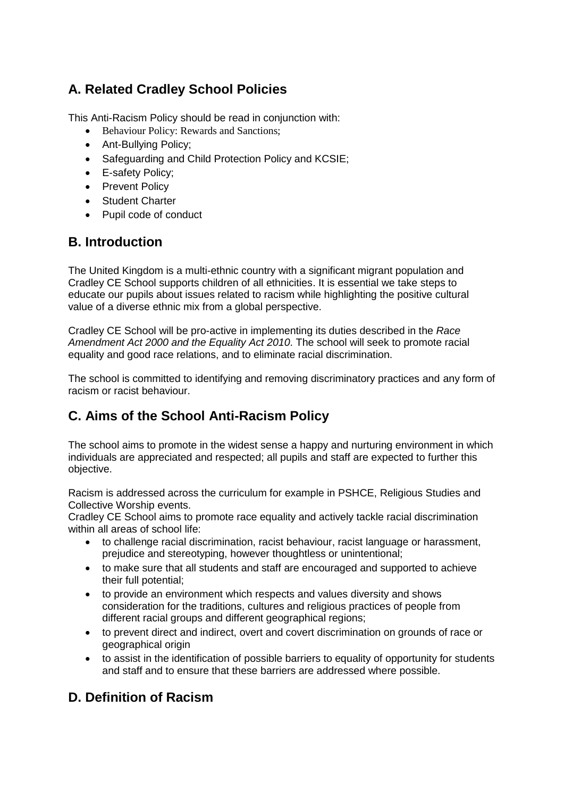# **A. Related Cradley School Policies**

This Anti-Racism Policy should be read in conjunction with:

- Behaviour Policy: Rewards and Sanctions;
- Ant-Bullying Policy;
- Safeguarding and Child Protection Policy and KCSIE;
- E-safety Policy;
- Prevent Policy
- Student Charter
- Pupil code of conduct

## **B. Introduction**

The United Kingdom is a multi-ethnic country with a significant migrant population and Cradley CE School supports children of all ethnicities. It is essential we take steps to educate our pupils about issues related to racism while highlighting the positive cultural value of a diverse ethnic mix from a global perspective.

Cradley CE School will be pro-active in implementing its duties described in the *Race Amendment Act 2000 and the Equality Act 2010*. The school will seek to promote racial equality and good race relations, and to eliminate racial discrimination.

The school is committed to identifying and removing discriminatory practices and any form of racism or racist behaviour.

## **C. Aims of the School Anti-Racism Policy**

The school aims to promote in the widest sense a happy and nurturing environment in which individuals are appreciated and respected; all pupils and staff are expected to further this objective.

Racism is addressed across the curriculum for example in PSHCE, Religious Studies and Collective Worship events.

Cradley CE School aims to promote race equality and actively tackle racial discrimination within all areas of school life:

- to challenge racial discrimination, racist behaviour, racist language or harassment, prejudice and stereotyping, however thoughtless or unintentional;
- to make sure that all students and staff are encouraged and supported to achieve their full potential;
- to provide an environment which respects and values diversity and shows consideration for the traditions, cultures and religious practices of people from different racial groups and different geographical regions;
- to prevent direct and indirect, overt and covert discrimination on grounds of race or geographical origin
- to assist in the identification of possible barriers to equality of opportunity for students and staff and to ensure that these barriers are addressed where possible.

## **D. Definition of Racism**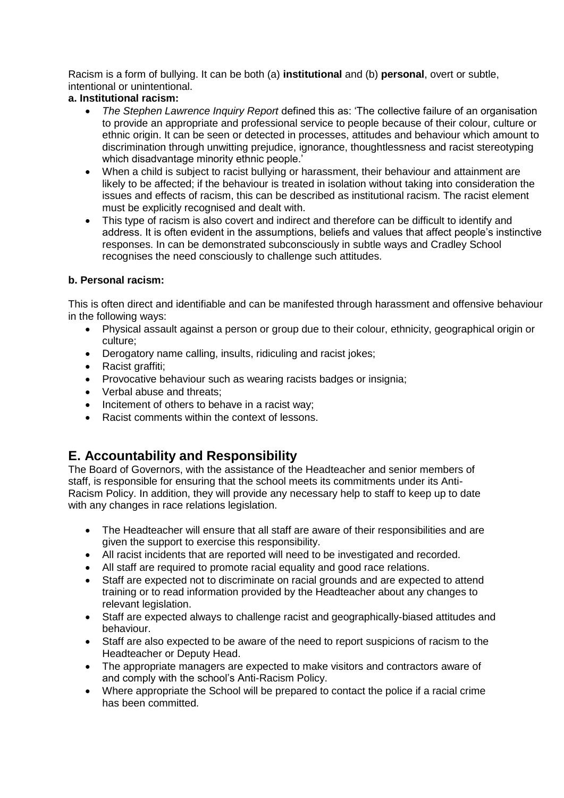Racism is a form of bullying. It can be both (a) **institutional** and (b) **personal**, overt or subtle, intentional or unintentional.

#### **a. Institutional racism:**

- *The Stephen Lawrence Inquiry Report* defined this as: 'The collective failure of an organisation to provide an appropriate and professional service to people because of their colour, culture or ethnic origin. It can be seen or detected in processes, attitudes and behaviour which amount to discrimination through unwitting prejudice, ignorance, thoughtlessness and racist stereotyping which disadvantage minority ethnic people.'
- When a child is subject to racist bullying or harassment, their behaviour and attainment are likely to be affected; if the behaviour is treated in isolation without taking into consideration the issues and effects of racism, this can be described as institutional racism. The racist element must be explicitly recognised and dealt with.
- This type of racism is also covert and indirect and therefore can be difficult to identify and address. It is often evident in the assumptions, beliefs and values that affect people's instinctive responses. In can be demonstrated subconsciously in subtle ways and Cradley School recognises the need consciously to challenge such attitudes.

#### **b. Personal racism:**

This is often direct and identifiable and can be manifested through harassment and offensive behaviour in the following ways:

- Physical assault against a person or group due to their colour, ethnicity, geographical origin or culture;
- Derogatory name calling, insults, ridiculing and racist jokes;
- Racist graffiti;
- Provocative behaviour such as wearing racists badges or insignia;
- Verbal abuse and threats:
- Incitement of others to behave in a racist way;
- Racist comments within the context of lessons.

### **E. Accountability and Responsibility**

The Board of Governors, with the assistance of the Headteacher and senior members of staff, is responsible for ensuring that the school meets its commitments under its Anti-Racism Policy. In addition, they will provide any necessary help to staff to keep up to date with any changes in race relations legislation.

- The Headteacher will ensure that all staff are aware of their responsibilities and are given the support to exercise this responsibility.
- All racist incidents that are reported will need to be investigated and recorded.
- All staff are required to promote racial equality and good race relations.
- Staff are expected not to discriminate on racial grounds and are expected to attend training or to read information provided by the Headteacher about any changes to relevant legislation.
- Staff are expected always to challenge racist and geographically-biased attitudes and behaviour.
- Staff are also expected to be aware of the need to report suspicions of racism to the Headteacher or Deputy Head.
- The appropriate managers are expected to make visitors and contractors aware of and comply with the school's Anti-Racism Policy.
- Where appropriate the School will be prepared to contact the police if a racial crime has been committed.